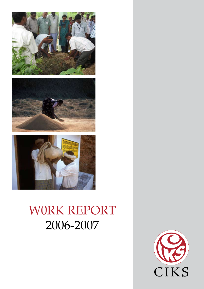





# W0RK REPORT 2006-2007

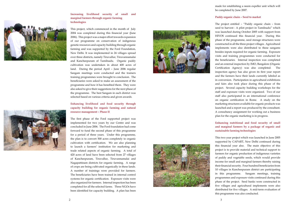

#### **Increasing livelihood security of small and marginal farmers through organic farming technologies**

This project, which commenced in the month of July 2004 was completed during this financial year (June 2006). This project was a major effort towards expansion of our programme on conservation of indigenous genetic resources and capacity building through organic farming and was supported by the Ford Foundation, New Delhi. It was implemented in 24 villages spread over three districts, namely Tiruvallur, Tiruvannamalai and Kancheepuram of Tamilnadu. Organic paddy cultivation was undertaken in about 400 acres of land. During the period April – June 2006 regular Sangam meetings were conducted and the trainers training programmes were brought to conclusion. The beneficiaries were asked to make an assessment of the programme and how it has benefited them. They were also asked to give their suggestions for the next phase of the programme. The best Sangam in each district was selected based on various criteria and given awards.

#### **Enhancing livelihood and food security through capacity building for organic farming and natural resource management – Phase II**

The first phase of the Ford supported project was implemented for two years by our Centre and was concluded in June 2006. The Ford foundation had come forward to fund the second phase of this programme for a period of three years. Under this programme, the plan is to convert 500 acres completely to organic cultivation with certification. We are also planning to launch a farmers' institution for marketing and trade related aspects of organic farming. A total of 420 acres of land have been selected from 27 villages of Kancheepuram, Tiruvallur, Tiruvannamalai and Nagapattinam districts for organic farming. A range of crops are being cultivated organically in these lands. A number of trainings were provided for farmers. The beneficiaries have been trained in internal control systems for organic certification. Exposure visits were also organized for farmers. Internal inspection has been completed for all the selected farms. Three NGOs have been identified for capacity building. A plan has been





made for establishing a neem expeller unit which will be completed by June 2007.

#### **Paddy organic chain – Seed to market**

The project entitled – "Paddy organic chain – from seed to harvest : A pilot project in Tamilnadu" which was launched during October 2005 with support from HIVOS continued this financial year. During this phase of the programme, seed storage structures were constructed in all the three project villages. Agricultural implements were also distributed to these sangams besides inputs required for organic farming. Exposure visits and training programmes were conducted for the beneficiaries. Internal inspection was completed and an external inspection by IMO, Bangalore (Organic Certification Agency) was also completed. The inspection agency has also given its first year report and the farmers have their lands currently labeled as in conversion. Participation in agricultural exhibitions and fairs also took place during this phase of the project. Several capacity building workshops for the staff and exposure visits were organized. Two of our staff also participated in an international conference on organic certification in Rome. A study on the marketing structures available for organic products was launched and a report was produced by the consultant. A consultancy assignment for working out a business plan for the organic marketing is in progress.

#### **Enhancing nutritional and food security of small and marginal farmers by a package of organic and sustainable farming technologies**

This two year project which was launched in June 2005 supported by CAPART, New Delhi continued during this financial year also. The main objective of this project is to provide material and technical support to farmers for organic production of indigenous varieties of paddy and vegetable seeds, which would provide income for small and marginal farmers thereby raising their financial security. Four hundred beneficiaries from 10 villages in Kancheepuram district are participating in this programme. Sangam meetings, training programmes and exposure visits continued during this phase of the project. Seed banks were constructed in five villages and agricultural implements were also distributed for five villages. A mid-term evaluation of this programme was also conducted.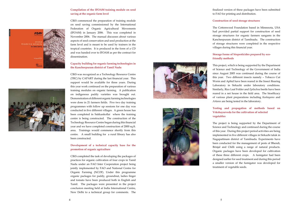#### **Compilation of the IFOAM training module on seed saving at the organic farm level**





CIKS commenced the preparation of training module on seed saving commissioned by the International Federation of Organic Agricultural Movements (IFOAM) in January 2006. This was completed in November 2006. The manual discusses about various aspects of seed conservation and seed production at the farm level and is meant to be used by trainers in the tropical countries. It is produced in the form of a CD and was handed over to IFOAM as per the contract for dissemination.

#### **Capacity building for organic farming technologies in the Kancheepuram district of Tamil Nadu**

CIKS was recognized as a Technology Resource Centre (TRC) by CAPART during the last financial year. This support would be available for three years. During this year work continued on the preparation of various training modules on organic farming. A publication on indigenous paddy varieties was brought out. Demonstration of different organic farming technologies were done in 21 farmers fields. Five two day training programmes with follow up sessions for one day was conducted in five different villages. A green house has been completed in Sukkankollai where the training centre is being constructed. The construction of the Technology Resource Centre began during this financial year and we have completed construction of 2000 sq.ft. area. Trainings would commence shortly from this centre. A small building for a rural library has also been constructed.

#### **Development of a technical capacity base for the promotion of organic agriculture**

CIKS completed the task of developing the packages of practices for organic cultivation of four crops in Tamil Nadu under an FAO Inter Cooperation project being jointly implemented by FAO and National Centre for Organic Farming (NCOF). Under this programme organic packages for paddy, groundnut, ladies finger and tomato have been produced both in English and Tamil. The packages were presented in the project conclusion meeting held at India International Centre, New Delhi to a technical group for comments. The





finalized version of these packages have been submitted to FAO for printing and distribution.

### **Construction of seed storage structures**

The Cottonwood Foundation based in Minnesota, USA had provided partial support for construction of seed storage structures for organic farmers sangams in the Kancheepuram district of Tamilnadu. The construction of storage structures were completed in the respective villages during this financial year.

#### **Storage forms of biopesticides prepared by eco- friendly methods**

This project, which is being supported by the Department of Science and Technology of the Government of India since August 2005 was continued during the course of this year. Two different insects namely – Tobacco Cut Worm and Aphid have been reared in the Insect Rearing Laboratory in Sirkazhi under laboratory conditions. Similarly, Rice Leaf Folder and *Epilachna* beetle have been reared in a net house in the field area. The bioefficacy of various plant preparations including *Kashayams* and *Arkams* are being tested in the laboratory.

#### **Testing and propagation of methods based on Vrkshayurveda for the cultivation of selected vegetables**

The project is being supported by the Department of Science and Technology and continued during the course of this year. During this project period activities are being implemented in five different villages in Sirkazhi taluk in Nagapattinam district of Tamilnadu. Experiments have been conducted for the management of pests of Bhendi, Brinjal and Chilli using a range of natural products. Organic packages have been developed for cultivation of these three different crops. A fumigator had been designed earlier for seed treatment and during this period a smaller version of the fumigator was developed for treatment of vegetable seeds.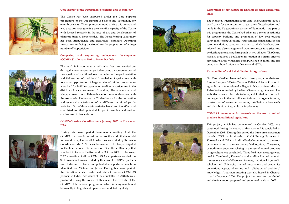#### **Core support of the Department of Science and Technology**



The Centre has been supported under the Core Support programme of the Department of Science and Technology for over three years. The support continued during this period and was used for strengthening the scientific capacity of the Centre with focused research in the area of use and development of plant products as biopesticides. The Insect Rearing Laboratory has been strengthened and expanded. Standard Operating procedures are being developed for the preparation of a large number of biopesticides.

#### **Comparing and supporting endogenous development (COMPAS) - January 2005 to December 2006**

This work is in continuation with what has been carried out during the previous project period focusing on conservation and propagation of traditional seed varieties and experimentation and field-testing of traditional knowledge of agriculture with focus on crop protection. A large number of training programmes were held for building capacity on traditional agriculture in the districts of Kancheepuram, Tiruvallur, Tiruvannamalai and Nagapattinam. A collaborative effort was undertaken with the Annamalai University in Chidambaram for the cultivation and genetic characterization of ten different traditional paddy varieties. Out of this certain varieties have been identified and shortlisted for their potential in plant breeding and further studies need to be carried out.

#### **COMPAS Asian Coordination - January 2005 to December 2006**



During this project period there was a meeting of all the COMPAS partners from various parts of the world that was held in Poland in September 2006, which was attended by the Asian Coordinator, Mr. A. V. Balasubramanian. He also participated in the International Conference on Biocultural Diversity that was held in Geneva, Switzerland in October 2006. In February 2007, a meeting of all the COMPAS Asian partners was held in Sri Lanka which was attended by the current COMPAS partners from India and Sri Lanka and potential new partners have been identified from Vietnam and Japan. During this project period, the Coordinator also made field visits to various COMPAS partners in India. Two issues of the newsletter, CLARION were produced during the course of this year. The website of the COMPAS International programme which is being maintained bilingually in English and Spanish was updated regularly.





## **lands**

The Wetlands International South Asia (WISA) had provided a small grant for the restoration of tsunami affected agricultural lands in the Nagapattinam district of Tamilnadu. As part of this programme, the Centre had taken up a series of activities for capacity building and promotion of low cost organic cultivation, testing of soil and water samples to make site specific recommendations based on the extent to which they have been affected and also strengthened water resources for agriculture by desilting the existing farm ponds in two villages. The Centre has also produced a booklet on restoration of tsunami affected agriculture lands, which has been published in Tamil, and it is being distributed widely to farmers and NGOs.

### **Tsunami Relief and Rehabilitation in Agriculture**

Our Centre had implemented a short term programme between June and August 2006 for Tsunami Relief and Rehabilitation in agriculture in two selected villages in Nagapattinam district. This effort was funded by the Gram Swaraj Sangh, Gujarat. The activities taken up include training and initiation of organic home gardens in the two villages, training on organic farming, construction of vermicompost units, installation of bore wells and distribution of agricultural implements.

6

### **COMPAS programme for research on the use of animal products in traditional agriculture**

This project, which had commenced in October 2005, was continued during the course of this year and it concluded in December 2006. During this period the three project partners namely, CIKS in Tamilnadu, Krishi Prayog Pariwara in Karnataka and IDEA in Andhra Pradesh continued to carry out experimentation in their respective field locations. The survey of traditional practices relating to the use of animal products in agriculture was concluded. Three field level meetings were held in Tamilnadu, Karnataka and Andhra Pradesh wherein discussions were held between farmers, traditional Ayurvedic scholars and University trained researchers and academics on various aspects of testing and validation of traditional knowledge. A partners meeting was also hosted in Chennai in early December 2006. The project has now been concluded and the final report prepared and submitted in March 2007.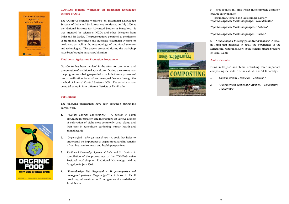**Traditional Knowledge** Systems of India and Sri Lanka



#### **COMPAS regional workshop on traditional knowledge systems of Asia**

The COMPAS regional workshop on Traditional Knowledge Systems of India and Sri Lanka was conducted in July 2006 at the National Institute for Advanced Studies at Bangalore. It was attended by scientists, NGOs and other delegates from India and Sri Lanka. The presentations pertained to the themes of traditional agriculture and livestock, traditional systems of healthcare as well as the methodology of traditional sciences and technologies. The papers presented during the workshop have been brought out as a publication.

#### **Traditional Agriculture Promotion Programme.**

Our Centre has been involved in the effort for promotion and preservation of traditional agriculture. During the current year the programme is being expanded to include the components of group certification for small and marginal farmers through the method of Internal Control Systems (ICS). The activity is now being taken up in four different districts of Tamilnadu

#### **Publications**

The following publications have been produced during the current year.

- **1.** *"Nalam Tharum Thavarangal"* **-** A booklet in Tamil providing information and instructions on various aspects of cultivation of eight most commonly used plants and their uses in agriculture, gardening, human health and animal health.
- **2.** *Organic food why you should care* **-** A book that helps to understand the importance of organic foods and its benefits – from both environment and health perspectives.
- **3.** *Traditional Knowledge Systems of India and Sri Lanka* A compilation of the proceedings of the COMPAS Asian Regional workshop on Traditional Knowledge held at Bangalore in July 2006.
- **4.** *"Parambariya Nel Ragangal 81 parampariya nel ragangalai pattriya thagavalgal"I* **-** A book in Tamil providing information on 81 indigenous rice varieties of Tamil Nadu.



**5**. Three booklets in Tamil which gives complete details on organic cultivation of

 groundnut, tomato and ladies finger namely - *"Iyarkai sagupadi thozhilnutpangal – Nilakkadalai"*

*"Iyarkai sagupadi thozhilnutpangal – Thakkali"*

*"Iyarkai sagupadi thozhilnutpangal – Vendai"*

**6**. *"Tsunamiyum Vivasayigalin Maruvazhvum"* A book in Tamil that discusses in detail the experiences of the agricultural restoration work in the tsunami affected regions of Tamil Nadu.

**Audio - Visuals**



Films in English and Tamil describing three important composting methods in detail as DVD and VCD namely -

**1.**  *Organic farming Techniques – Composting* 

*2. "Iyarkaivazhi Sagupadi Nutpangal - Makkuvura Thayarippu"*